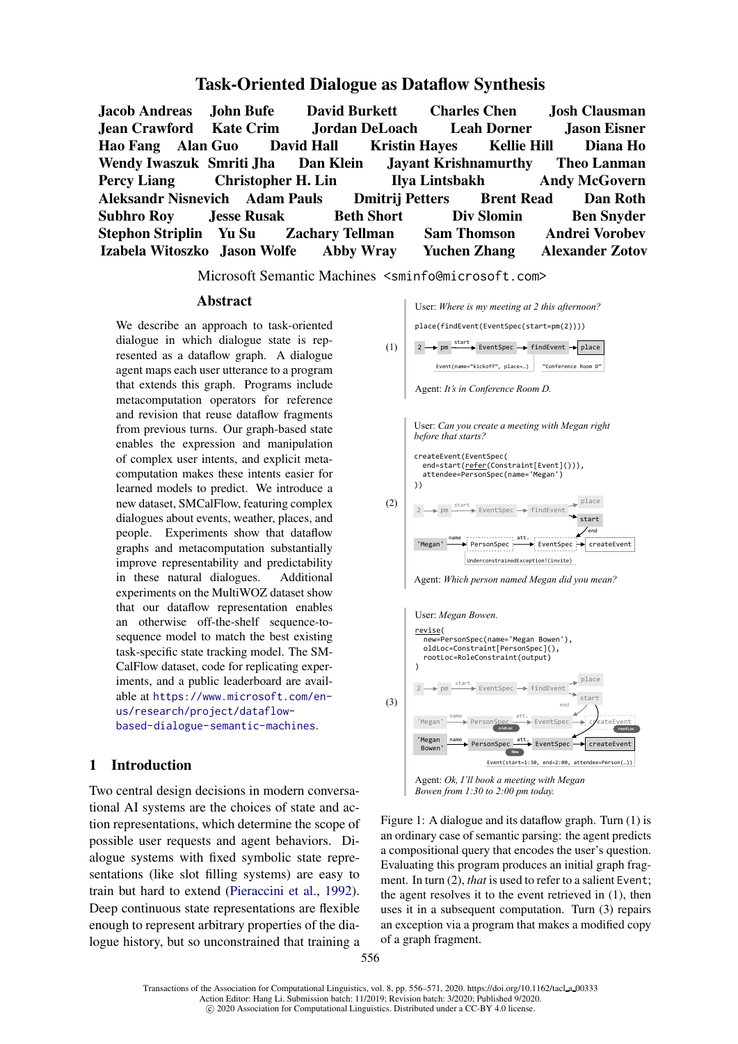# Task-Oriented Dialogue as Dataflow Synthesis

Jacob Andreas John Bufe David Burkett Charles Chen Josh Clausman Jean Crawford Kate Crim Jordan DeLoach Leah Dorner Jason Eisner Hao Fang Alan Guo David Hall Kristin Hayes Kellie Hill Diana Ho Wendy Iwaszuk Smriti Jha Dan Klein Jayant Krishnamurthy Theo Lanman Percy Liang Christopher H. Lin Ilya Lintsbakh Andy McGovern Aleksandr Nisnevich Adam Pauls Dmitrij Petters Brent Read Dan Roth Subhro Roy Jesse Rusak Beth Short Div Slomin Ben Snyder Stephon Striplin Yu Su Zachary Tellman Sam Thomson Andrei Vorobev Izabela Witoszko Jason Wolfe Abby Wray Yuchen Zhang Alexander Zotov

Microsoft Semantic Machines <sminfo@microsoft.com>

#### Abstract

We describe an approach to task-oriented dialogue in which dialogue state is represented as a dataflow graph. A dialogue agent maps each user utterance to a program that extends this graph. Programs include metacomputation operators for reference and revision that reuse dataflow fragments from previous turns. Our graph-based state enables the expression and manipulation of complex user intents, and explicit metacomputation makes these intents easier for learned models to predict. We introduce a new dataset, SMCalFlow, featuring complex dialogues about events, weather, places, and people. Experiments show that dataflow graphs and metacomputation substantially improve representability and predictability in these natural dialogues. Additional experiments on the MultiWOZ dataset show that our dataflow representation enables an otherwise off-the-shelf sequence-tosequence model to match the best existing task-specific state tracking model. The SM-CalFlow dataset, code for replicating experiments, and a public leaderboard are available at [https://www.microsoft.com/en](https://www.microsoft.com/en-us/research/project/dataflow-based-dialogue-semantic-machines)[us/research/project/dataflow](https://www.microsoft.com/en-us/research/project/dataflow-based-dialogue-semantic-machines)[based-dialogue-semantic-machines](https://www.microsoft.com/en-us/research/project/dataflow-based-dialogue-semantic-machines).

# 1 Introduction

Two central design decisions in modern conversational AI systems are the choices of state and action representations, which determine the scope of possible user requests and agent behaviors. Dialogue systems with fixed symbolic state representations (like slot filling systems) are easy to train but hard to extend [\(Pieraccini et al.,](#page-14-0) [1992\)](#page-14-0). Deep continuous state representations are flexible enough to represent arbitrary properties of the dialogue history, but so unconstrained that training a



<span id="page-0-0"></span>

Figure 1: A dialogue and its dataflow graph. Turn (1) is an ordinary case of semantic parsing: the agent predicts a compositional query that encodes the user's question. Evaluating this program produces an initial graph fragment. In turn (2), *that* is used to refer to a salient Event; the agent resolves it to the event retrieved in (1), then uses it in a subsequent computation. Turn (3) repairs an exception via a program that makes a modified copy of a graph fragment.

Transactions of the Association for Computational Linguistics, vol. 8, pp. 556–571, 2020. https://doi.org/10.1162/tacl a 00333 Action Editor: Hang Li. Submission batch: 11/2019; Revision batch: 3/2020; Published 9/2020. c 2020 Association for Computational Linguistics. Distributed under a CC-BY 4.0 license.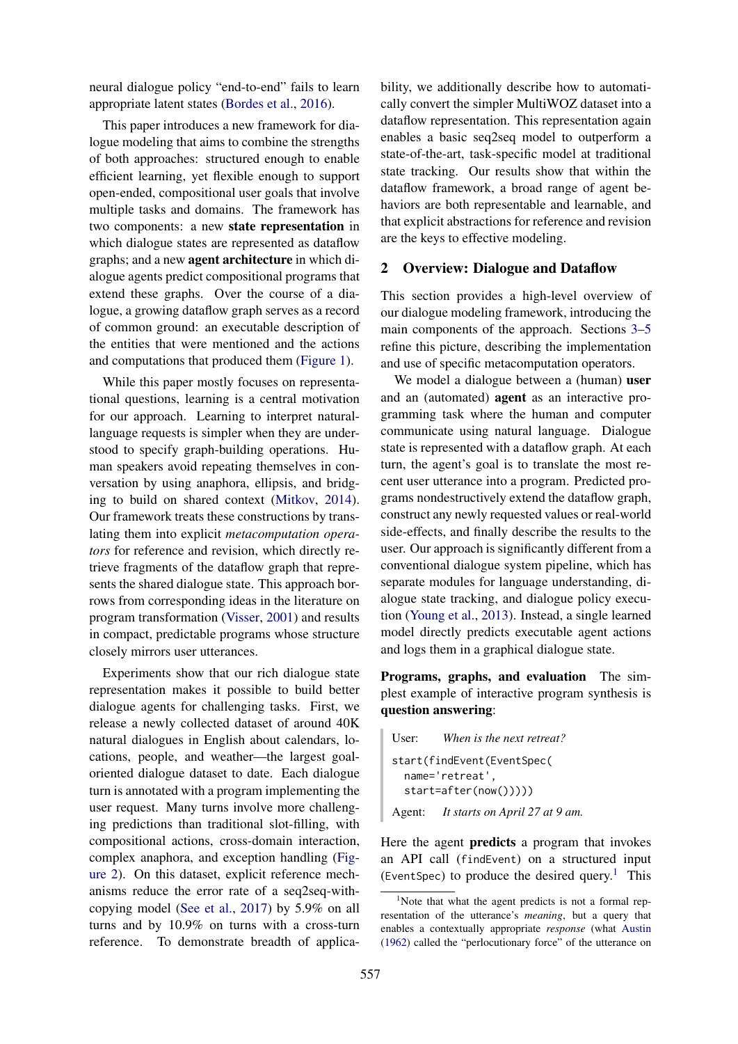neural dialogue policy "end-to-end" fails to learn appropriate latent states [\(Bordes et al.,](#page-12-0) [2016\)](#page-12-0).

This paper introduces a new framework for dialogue modeling that aims to combine the strengths of both approaches: structured enough to enable efficient learning, yet flexible enough to support open-ended, compositional user goals that involve multiple tasks and domains. The framework has two components: a new state representation in which dialogue states are represented as dataflow graphs; and a new agent architecture in which dialogue agents predict compositional programs that extend these graphs. Over the course of a dialogue, a growing dataflow graph serves as a record of common ground: an executable description of the entities that were mentioned and the actions and computations that produced them [\(Figure 1\)](#page-0-0).

While this paper mostly focuses on representational questions, learning is a central motivation for our approach. Learning to interpret naturallanguage requests is simpler when they are understood to specify graph-building operations. Human speakers avoid repeating themselves in conversation by using anaphora, ellipsis, and bridging to build on shared context [\(Mitkov,](#page-13-0) [2014\)](#page-13-0). Our framework treats these constructions by translating them into explicit *metacomputation operators* for reference and revision, which directly retrieve fragments of the dataflow graph that represents the shared dialogue state. This approach borrows from corresponding ideas in the literature on program transformation [\(Visser,](#page-14-1) [2001\)](#page-14-1) and results in compact, predictable programs whose structure closely mirrors user utterances.

Experiments show that our rich dialogue state representation makes it possible to build better dialogue agents for challenging tasks. First, we release a newly collected dataset of around 40K natural dialogues in English about calendars, locations, people, and weather—the largest goaloriented dialogue dataset to date. Each dialogue turn is annotated with a program implementing the user request. Many turns involve more challenging predictions than traditional slot-filling, with compositional actions, cross-domain interaction, complex anaphora, and exception handling [\(Fig](#page-8-0)[ure 2\)](#page-8-0). On this dataset, explicit reference mechanisms reduce the error rate of a seq2seq-withcopying model [\(See et al.,](#page-14-2) [2017\)](#page-14-2) by 5.9% on all turns and by 10.9% on turns with a cross-turn reference. To demonstrate breadth of applicability, we additionally describe how to automatically convert the simpler MultiWOZ dataset into a dataflow representation. This representation again enables a basic seq2seq model to outperform a state-of-the-art, task-specific model at traditional state tracking. Our results show that within the dataflow framework, a broad range of agent behaviors are both representable and learnable, and that explicit abstractions for reference and revision are the keys to effective modeling.

# <span id="page-1-1"></span>2 Overview: Dialogue and Dataflow

This section provides a high-level overview of our dialogue modeling framework, introducing the main components of the approach. Sections [3–](#page-3-0)[5](#page-6-0) refine this picture, describing the implementation and use of specific metacomputation operators.

We model a dialogue between a (human) user and an (automated) agent as an interactive programming task where the human and computer communicate using natural language. Dialogue state is represented with a dataflow graph. At each turn, the agent's goal is to translate the most recent user utterance into a program. Predicted programs nondestructively extend the dataflow graph, construct any newly requested values or real-world side-effects, and finally describe the results to the user. Our approach is significantly different from a conventional dialogue system pipeline, which has separate modules for language understanding, dialogue state tracking, and dialogue policy execution [\(Young et al.,](#page-14-3) [2013\)](#page-14-3). Instead, a single learned model directly predicts executable agent actions and logs them in a graphical dialogue state.

Programs, graphs, and evaluation The simplest example of interactive program synthesis is question answering:

```
User: When is the next retreat?
start(findEvent(EventSpec(
  name='retreat',
  start=after(now()))))
Agent: It starts on April 27 at 9 am.
```
Here the agent predicts a program that invokes an API call (findEvent) on a structured input (EventSpec) to produce the desired query.<sup>[1](#page-1-0)</sup> This

<span id="page-1-0"></span><sup>&</sup>lt;sup>1</sup>Note that what the agent predicts is not a formal representation of the utterance's *meaning*, but a query that enables a contextually appropriate *response* (what [Austin](#page-12-1) [\(1962\)](#page-12-1) called the "perlocutionary force" of the utterance on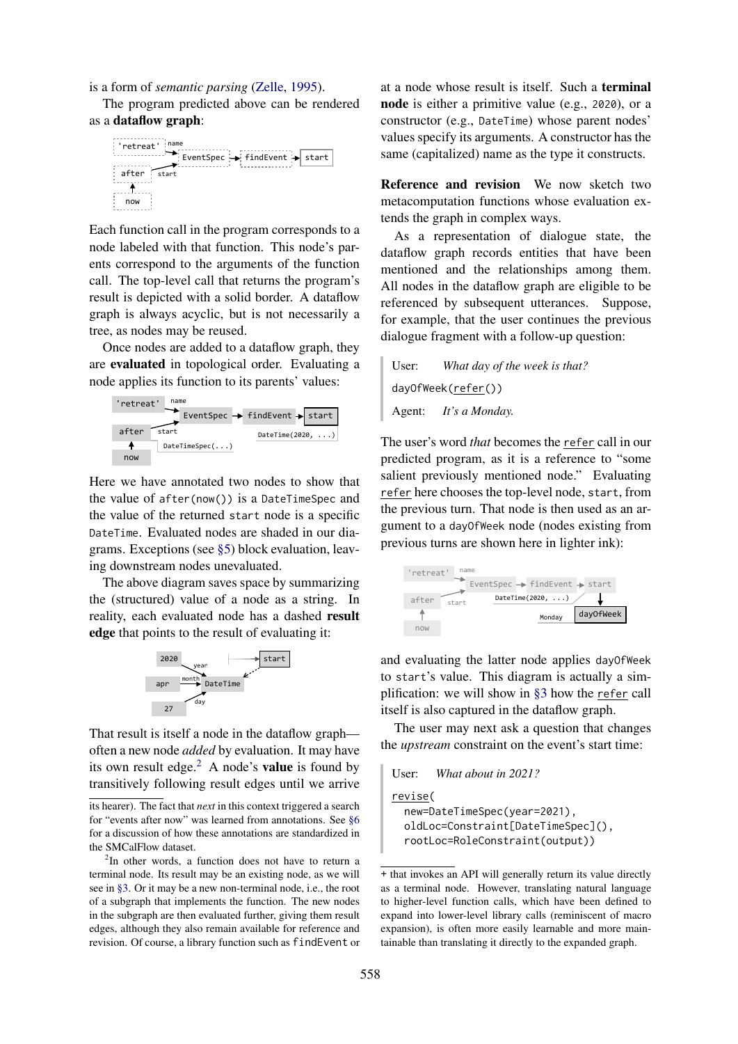is a form of *semantic parsing* [\(Zelle,](#page-14-4) [1995\)](#page-14-4).

The program predicted above can be rendered as a dataflow graph:



Each function call in the program corresponds to a node labeled with that function. This node's parents correspond to the arguments of the function call. The top-level call that returns the program's result is depicted with a solid border. A dataflow graph is always acyclic, but is not necessarily a tree, as nodes may be reused.

Once nodes are added to a dataflow graph, they are evaluated in topological order. Evaluating a node applies its function to its parents' values:



Here we have annotated two nodes to show that the value of after(now()) is a DateTimeSpec and the value of the returned start node is a specific DateTime. Evaluated nodes are shaded in our diagrams. Exceptions (see [§5\)](#page-6-0) block evaluation, leaving downstream nodes unevaluated.

The above diagram saves space by summarizing the (structured) value of a node as a string. In reality, each evaluated node has a dashed result edge that points to the result of evaluating it:



That result is itself a node in the dataflow graph often a new node *added* by evaluation. It may have its own result edge.<sup>[2](#page-2-0)</sup> A node's **value** is found by transitively following result edges until we arrive at a node whose result is itself. Such a terminal node is either a primitive value (e.g., 2020), or a constructor (e.g., DateTime) whose parent nodes' values specify its arguments. A constructor has the same (capitalized) name as the type it constructs.

Reference and revision We now sketch two metacomputation functions whose evaluation extends the graph in complex ways.

As a representation of dialogue state, the dataflow graph records entities that have been mentioned and the relationships among them. All nodes in the dataflow graph are eligible to be referenced by subsequent utterances. Suppose, for example, that the user continues the previous dialogue fragment with a follow-up question:

User: *What day of the week is that?* dayOfWeek(refer()) Agent: *It's a Monday.*

The user's word *that* becomes the refer call in our predicted program, as it is a reference to "some salient previously mentioned node." Evaluating refer here chooses the top-level node, start, from the previous turn. That node is then used as an argument to a dayOfWeek node (nodes existing from previous turns are shown here in lighter ink):



and evaluating the latter node applies dayOfWeek to start's value. This diagram is actually a simplification: we will show in [§3](#page-3-0) how the refer call itself is also captured in the dataflow graph.

The user may next ask a question that changes the *upstream* constraint on the event's start time:

```
User: What about in 2021?
```
revise( new=DateTimeSpec(year=2021), oldLoc=Constraint[DateTimeSpec](), rootLoc=RoleConstraint(output))

its hearer). The fact that *next* in this context triggered a search for "events after now" was learned from annotations. See [§6](#page-8-1) for a discussion of how these annotations are standardized in the SMCalFlow dataset.

<span id="page-2-0"></span><sup>&</sup>lt;sup>2</sup>In other words, a function does not have to return a terminal node. Its result may be an existing node, as we will see in [§3.](#page-3-0) Or it may be a new non-terminal node, i.e., the root of a subgraph that implements the function. The new nodes in the subgraph are then evaluated further, giving them result edges, although they also remain available for reference and revision. Of course, a library function such as findEvent or

<sup>+</sup> that invokes an API will generally return its value directly as a terminal node. However, translating natural language to higher-level function calls, which have been defined to expand into lower-level library calls (reminiscent of macro expansion), is often more easily learnable and more maintainable than translating it directly to the expanded graph.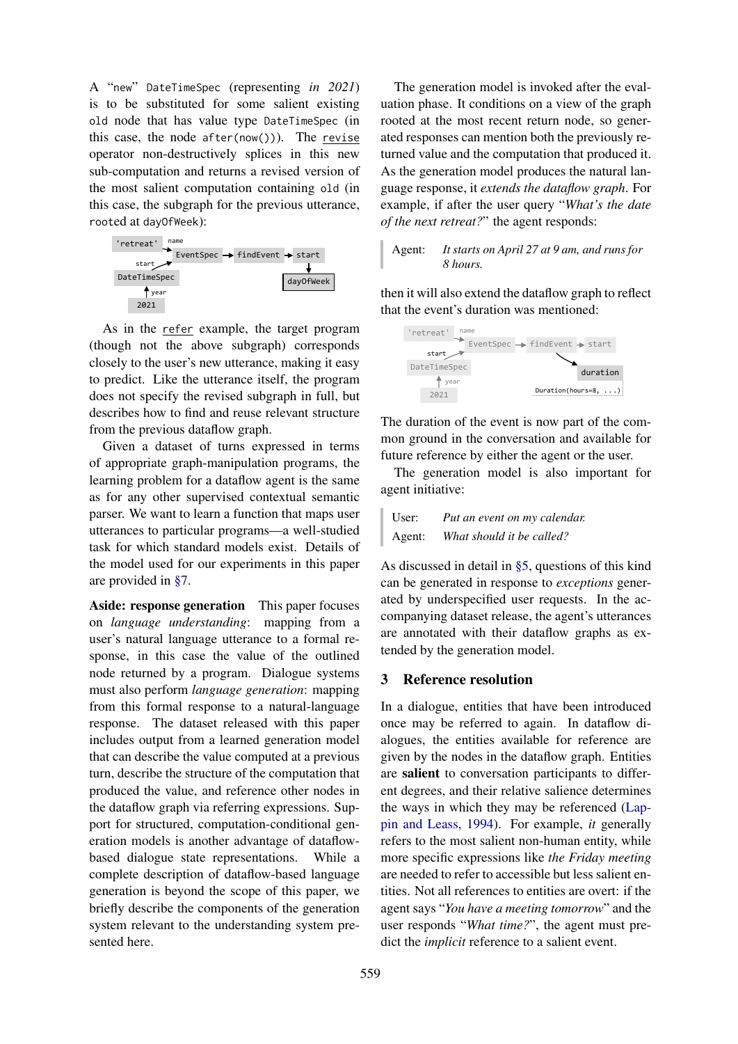A "new" DateTimeSpec (representing *in 2021*) is to be substituted for some salient existing old node that has value type DateTimeSpec (in this case, the node  $after(row())$ . The revise operator non-destructively splices in this new sub-computation and returns a revised version of the most salient computation containing old (in this case, the subgraph for the previous utterance, rooted at dayOfWeek):



As in the refer example, the target program (though not the above subgraph) corresponds closely to the user's new utterance, making it easy to predict. Like the utterance itself, the program does not specify the revised subgraph in full, but describes how to find and reuse relevant structure from the previous dataflow graph.

Given a dataset of turns expressed in terms of appropriate graph-manipulation programs, the learning problem for a dataflow agent is the same as for any other supervised contextual semantic parser. We want to learn a function that maps user utterances to particular programs—a well-studied task for which standard models exist. Details of the model used for our experiments in this paper are provided in [§7.](#page-9-0)

Aside: response generation This paper focuses on *language understanding*: mapping from a user's natural language utterance to a formal response, in this case the value of the outlined node returned by a program. Dialogue systems must also perform *language generation*: mapping from this formal response to a natural-language response. The dataset released with this paper includes output from a learned generation model that can describe the value computed at a previous turn, describe the structure of the computation that produced the value, and reference other nodes in the dataflow graph via referring expressions. Support for structured, computation-conditional generation models is another advantage of dataflowbased dialogue state representations. While a complete description of dataflow-based language generation is beyond the scope of this paper, we briefly describe the components of the generation system relevant to the understanding system presented here.

The generation model is invoked after the evaluation phase. It conditions on a view of the graph rooted at the most recent return node, so generated responses can mention both the previously returned value and the computation that produced it. As the generation model produces the natural language response, it *extends the dataflow graph*. For example, if after the user query "*What's the date of the next retreat?*" the agent responds:

### Agent: *It starts on April 27 at 9 am, and runs for 8 hours.*

then it will also extend the dataflow graph to reflect that the event's duration was mentioned:



The duration of the event is now part of the common ground in the conversation and available for future reference by either the agent or the user.

The generation model is also important for agent initiative:

| User:  | Put an event on my calendar. |
|--------|------------------------------|
| Agent: | What should it be called?    |

As discussed in detail in [§5,](#page-6-0) questions of this kind can be generated in response to *exceptions* generated by underspecified user requests. In the accompanying dataset release, the agent's utterances are annotated with their dataflow graphs as extended by the generation model.

# <span id="page-3-0"></span>3 Reference resolution

In a dialogue, entities that have been introduced once may be referred to again. In dataflow dialogues, the entities available for reference are given by the nodes in the dataflow graph. Entities are salient to conversation participants to different degrees, and their relative salience determines the ways in which they may be referenced [\(Lap](#page-13-1)[pin and Leass,](#page-13-1) [1994\)](#page-13-1). For example, *it* generally refers to the most salient non-human entity, while more specific expressions like *the Friday meeting* are needed to refer to accessible but less salient entities. Not all references to entities are overt: if the agent says "*You have a meeting tomorrow*" and the user responds "*What time?*", the agent must predict the *implicit* reference to a salient event.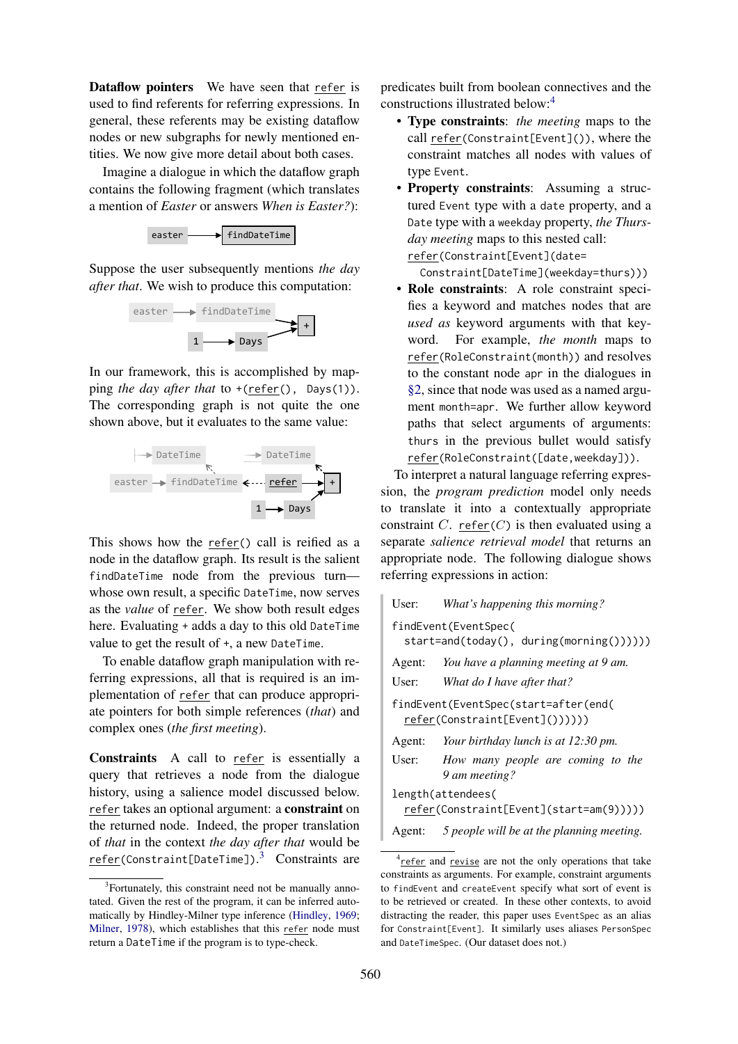Dataflow pointers We have seen that refer is used to find referents for referring expressions. In general, these referents may be existing dataflow nodes or new subgraphs for newly mentioned entities. We now give more detail about both cases.

Imagine a dialogue in which the dataflow graph contains the following fragment (which translates a mention of *Easter* or answers *When is Easter?*):



Suppose the user subsequently mentions *the day after that*. We wish to produce this computation:



In our framework, this is accomplished by mapping *the day after that* to +(refer(), Days(1)). The corresponding graph is not quite the one shown above, but it evaluates to the same value:



This shows how the refer() call is reified as a node in the dataflow graph. Its result is the salient findDateTime node from the previous turn whose own result, a specific DateTime, now serves as the *value* of refer. We show both result edges here. Evaluating + adds a day to this old DateTime value to get the result of +, a new DateTime.

To enable dataflow graph manipulation with referring expressions, all that is required is an implementation of refer that can produce appropriate pointers for both simple references (*that*) and complex ones (*the first meeting*).

Constraints A call to refer is essentially a query that retrieves a node from the dialogue history, using a salience model discussed below. refer takes an optional argument: a constraint on the returned node. Indeed, the proper translation of *that* in the context *the day after that* would be refer(Constraint[DateTime]).<sup>[3](#page-4-0)</sup> Constraints are

predicates built from boolean connectives and the constructions illustrated below:[4](#page-4-1)

- Type constraints: *the meeting* maps to the call refer(Constraint[Event]()), where the constraint matches all nodes with values of type Event.
- Property constraints: Assuming a structured Event type with a date property, and a Date type with a weekday property, *the Thursday meeting* maps to this nested call: refer(Constraint[Event](date=

Constraint[DateTime](weekday=thurs)))

• Role constraints: A role constraint specifies a keyword and matches nodes that are *used as* keyword arguments with that keyword. For example, *the month* maps to refer(RoleConstraint(month)) and resolves to the constant node apr in the dialogues in [§2,](#page-1-1) since that node was used as a named argument month=apr. We further allow keyword paths that select arguments of arguments: thurs in the previous bullet would satisfy refer(RoleConstraint([date,weekday])).

To interpret a natural language referring expression, the *program prediction* model only needs to translate it into a contextually appropriate constraint C. refer(C) is then evaluated using a separate *salience retrieval model* that returns an appropriate node. The following dialogue shows referring expressions in action:

| User:          | What's happening this morning?                                                    |
|----------------|-----------------------------------------------------------------------------------|
|                | findEvent(EventSpec(<br>$start = and(today(), during(morning()))))$               |
|                | Agent: You have a planning meeting at 9 am.                                       |
| User:          | What do I have after that?                                                        |
|                | findEvent(EventSpec(start=after(end(<br>$refer(Constructionstraint[Event]())))))$ |
|                | Agent: Your birthday lunch is at 12:30 pm.                                        |
| User:          | How many people are coming to the<br>9 am meeting?                                |
|                | length(attendees(<br>refer(Constraint[Event](start=am(9)))))                      |
|                | Agent: 5 people will be at the planning meeting.                                  |
| $\overline{A}$ |                                                                                   |

<span id="page-4-1"></span><sup>&</sup>lt;sup>4</sup> refer and revise are not the only operations that take constraints as arguments. For example, constraint arguments to findEvent and createEvent specify what sort of event is to be retrieved or created. In these other contexts, to avoid distracting the reader, this paper uses EventSpec as an alias for Constraint[Event]. It similarly uses aliases PersonSpec and DateTimeSpec. (Our dataset does not.)

<span id="page-4-0"></span><sup>&</sup>lt;sup>3</sup>Fortunately, this constraint need not be manually annotated. Given the rest of the program, it can be inferred automatically by Hindley-Milner type inference [\(Hindley,](#page-13-2) [1969;](#page-13-2) [Milner,](#page-13-3) [1978\)](#page-13-3), which establishes that this refer node must return a DateTime if the program is to type-check.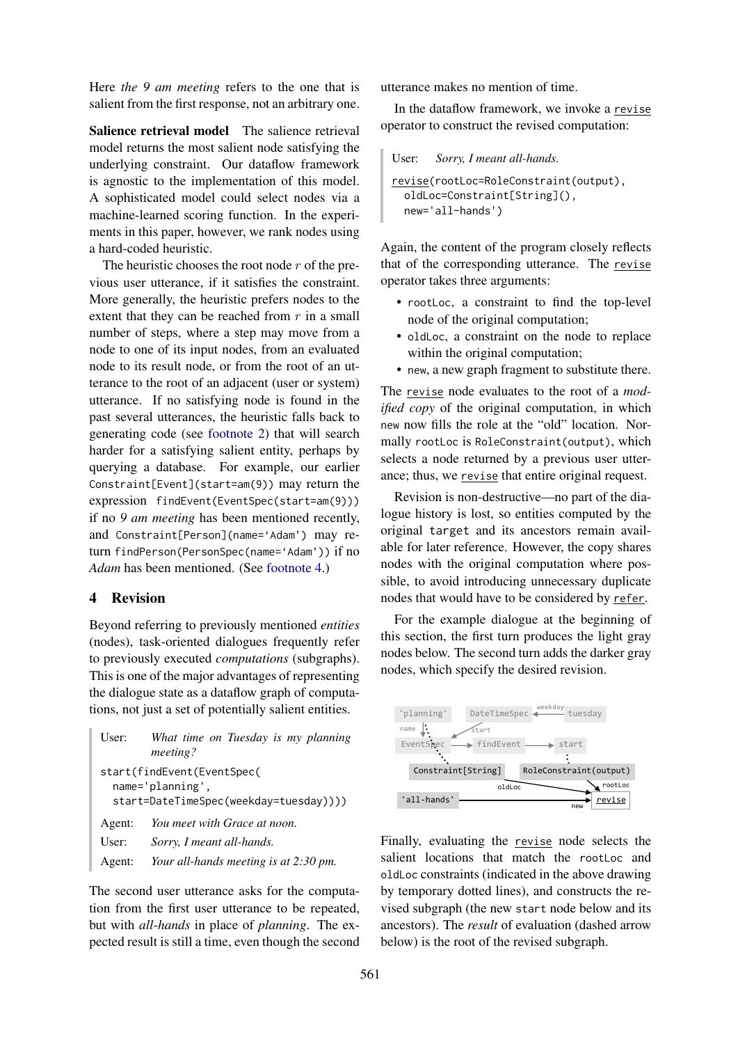Here *the 9 am meeting* refers to the one that is salient from the first response, not an arbitrary one.

Salience retrieval model The salience retrieval model returns the most salient node satisfying the underlying constraint. Our dataflow framework is agnostic to the implementation of this model. A sophisticated model could select nodes via a machine-learned scoring function. In the experiments in this paper, however, we rank nodes using a hard-coded heuristic.

The heuristic chooses the root node  $r$  of the previous user utterance, if it satisfies the constraint. More generally, the heuristic prefers nodes to the extent that they can be reached from  $r$  in a small number of steps, where a step may move from a node to one of its input nodes, from an evaluated node to its result node, or from the root of an utterance to the root of an adjacent (user or system) utterance. If no satisfying node is found in the past several utterances, the heuristic falls back to generating code (see [footnote 2\)](#page-2-0) that will search harder for a satisfying salient entity, perhaps by querying a database. For example, our earlier Constraint[Event](start=am(9)) may return the expression findEvent(EventSpec(start=am(9))) if no *9 am meeting* has been mentioned recently, and Constraint[Person](name='Adam') may return findPerson(PersonSpec(name='Adam')) if no *Adam* has been mentioned. (See [footnote 4.](#page-4-1))

### <span id="page-5-0"></span>4 Revision

Beyond referring to previously mentioned *entities* (nodes), task-oriented dialogues frequently refer to previously executed *computations* (subgraphs). This is one of the major advantages of representing the dialogue state as a dataflow graph of computations, not just a set of potentially salient entities.

| User:  | What time on Tuesday is my planning<br>meeting?                                          |
|--------|------------------------------------------------------------------------------------------|
|        | start(findEvent(EventSpec(<br>name='planning',<br>start=DateTimeSpec(weekday=tuesday)))) |
| Agent: | You meet with Grace at noon.                                                             |
| User:  | Sorry, I meant all-hands.                                                                |
| Agent: | Your all-hands meeting is at 2:30 pm.                                                    |

The second user utterance asks for the computation from the first user utterance to be repeated, but with *all-hands* in place of *planning*. The expected result is still a time, even though the second utterance makes no mention of time.

In the dataflow framework, we invoke a revise operator to construct the revised computation:

#### User: *Sorry, I meant all-hands.*

```
revise(rootLoc=RoleConstraint(output),
  oldLoc=Constraint[String](),
  new='all-hands')
```
Again, the content of the program closely reflects that of the corresponding utterance. The revise operator takes three arguments:

- rootLoc, a constraint to find the top-level node of the original computation;
- oldLoc, a constraint on the node to replace within the original computation;
- new, a new graph fragment to substitute there.

The revise node evaluates to the root of a *modified copy* of the original computation, in which new now fills the role at the "old" location. Normally rootLoc is RoleConstraint(output), which selects a node returned by a previous user utterance; thus, we revise that entire original request.

Revision is non-destructive—no part of the dialogue history is lost, so entities computed by the original target and its ancestors remain available for later reference. However, the copy shares nodes with the original computation where possible, to avoid introducing unnecessary duplicate nodes that would have to be considered by refer.

For the example dialogue at the beginning of this section, the first turn produces the light gray nodes below. The second turn adds the darker gray nodes, which specify the desired revision.



Finally, evaluating the revise node selects the salient locations that match the rootLoc and oldLoc constraints (indicated in the above drawing by temporary dotted lines), and constructs the revised subgraph (the new start node below and its ancestors). The *result* of evaluation (dashed arrow below) is the root of the revised subgraph.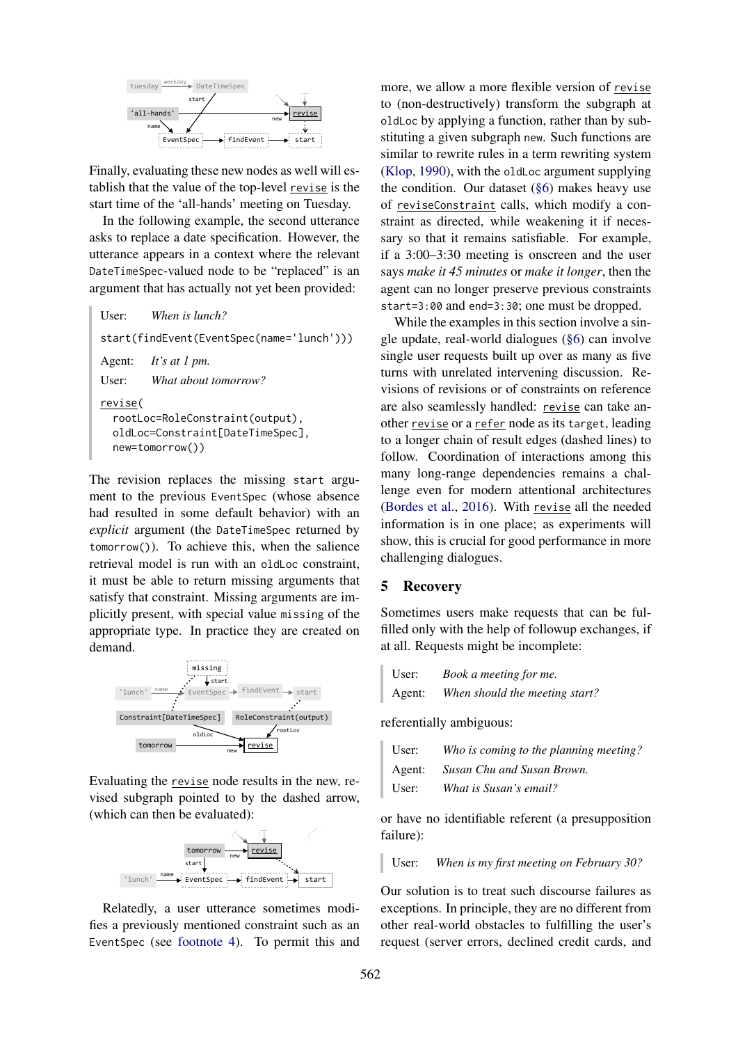

Finally, evaluating these new nodes as well will establish that the value of the top-level revise is the start time of the 'all-hands' meeting on Tuesday.

In the following example, the second utterance asks to replace a date specification. However, the utterance appears in a context where the relevant DateTimeSpec-valued node to be "replaced" is an argument that has actually not yet been provided:

```
User: When is lunch?
start(findEvent(EventSpec(name='lunch')))
Agent: It's at 1 pm.
User: What about tomorrow?
revise(
  rootLoc=RoleConstraint(output),
  oldLoc=Constraint[DateTimeSpec],
  new=tomorrow())
```
The revision replaces the missing start argument to the previous EventSpec (whose absence had resulted in some default behavior) with an *explicit* argument (the DateTimeSpec returned by tomorrow()). To achieve this, when the salience retrieval model is run with an oldLoc constraint, it must be able to return missing arguments that satisfy that constraint. Missing arguments are implicitly present, with special value missing of the appropriate type. In practice they are created on demand.



Evaluating the revise node results in the new, revised subgraph pointed to by the dashed arrow, (which can then be evaluated):



Relatedly, a user utterance sometimes modifies a previously mentioned constraint such as an EventSpec (see [footnote 4\)](#page-4-1). To permit this and

more, we allow a more flexible version of revise to (non-destructively) transform the subgraph at oldLoc by applying a function, rather than by substituting a given subgraph new. Such functions are similar to rewrite rules in a term rewriting system [\(Klop,](#page-13-4) [1990\)](#page-13-4), with the oldLoc argument supplying the condition. Our dataset [\(§6\)](#page-8-1) makes heavy use of reviseConstraint calls, which modify a constraint as directed, while weakening it if necessary so that it remains satisfiable. For example, if a 3:00–3:30 meeting is onscreen and the user says *make it 45 minutes* or *make it longer*, then the agent can no longer preserve previous constraints start=3:00 and end=3:30; one must be dropped.

While the examples in this section involve a single update, real-world dialogues [\(§6\)](#page-8-1) can involve single user requests built up over as many as five turns with unrelated intervening discussion. Revisions of revisions or of constraints on reference are also seamlessly handled: revise can take another revise or a refer node as its target, leading to a longer chain of result edges (dashed lines) to follow. Coordination of interactions among this many long-range dependencies remains a challenge even for modern attentional architectures [\(Bordes et al.,](#page-12-0) [2016\)](#page-12-0). With revise all the needed information is in one place; as experiments will show, this is crucial for good performance in more challenging dialogues.

#### <span id="page-6-0"></span>5 Recovery

Sometimes users make requests that can be fulfilled only with the help of followup exchanges, if at all. Requests might be incomplete:

| User:  | Book a meeting for me.         |
|--------|--------------------------------|
| Agent: | When should the meeting start? |

referentially ambiguous:

| User:  | Who is coming to the planning meeting? |
|--------|----------------------------------------|
| Agent: | Susan Chu and Susan Brown.             |
| User:  | What is Susan's email?                 |

or have no identifiable referent (a presupposition failure):

User: *When is my first meeting on February 30?*

Our solution is to treat such discourse failures as exceptions. In principle, they are no different from other real-world obstacles to fulfilling the user's request (server errors, declined credit cards, and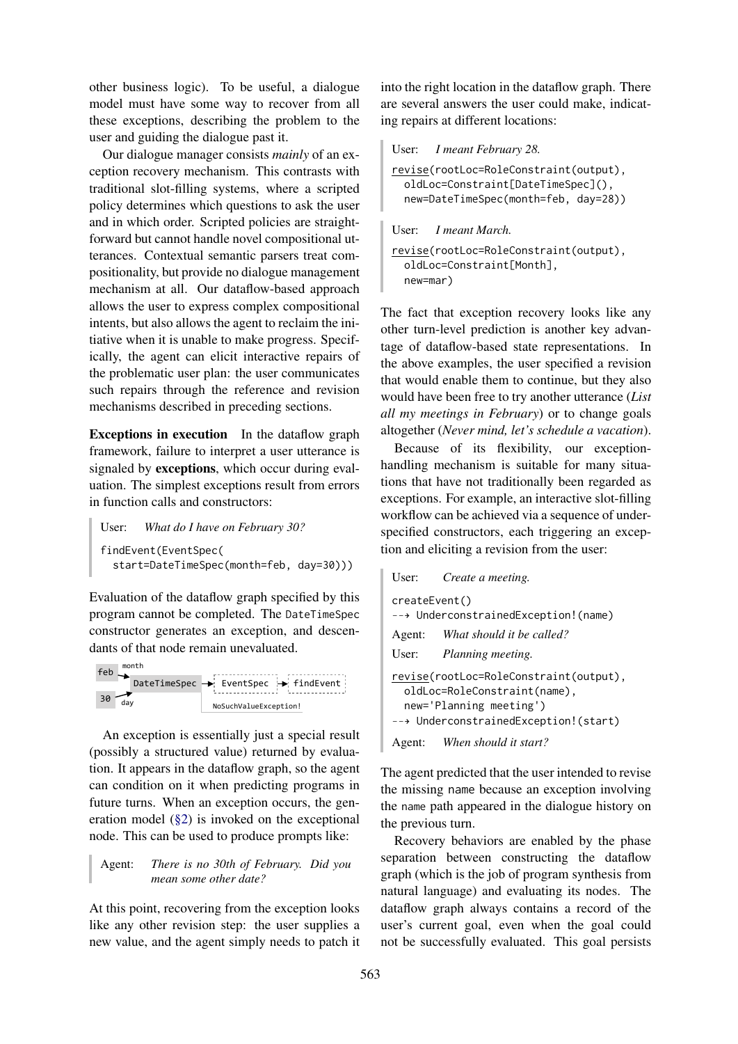other business logic). To be useful, a dialogue model must have some way to recover from all these exceptions, describing the problem to the user and guiding the dialogue past it.

Our dialogue manager consists *mainly* of an exception recovery mechanism. This contrasts with traditional slot-filling systems, where a scripted policy determines which questions to ask the user and in which order. Scripted policies are straightforward but cannot handle novel compositional utterances. Contextual semantic parsers treat compositionality, but provide no dialogue management mechanism at all. Our dataflow-based approach allows the user to express complex compositional intents, but also allows the agent to reclaim the initiative when it is unable to make progress. Specifically, the agent can elicit interactive repairs of the problematic user plan: the user communicates such repairs through the reference and revision mechanisms described in preceding sections.

Exceptions in execution In the dataflow graph framework, failure to interpret a user utterance is signaled by exceptions, which occur during evaluation. The simplest exceptions result from errors in function calls and constructors:

User: *What do I have on February 30?* findEvent(EventSpec( start=DateTimeSpec(month=feb, day=30)))

Evaluation of the dataflow graph specified by this program cannot be completed. The DateTimeSpec constructor generates an exception, and descendants of that node remain unevaluated.



An exception is essentially just a special result (possibly a structured value) returned by evaluation. It appears in the dataflow graph, so the agent can condition on it when predicting programs in future turns. When an exception occurs, the generation model [\(§2\)](#page-1-1) is invoked on the exceptional node. This can be used to produce prompts like:

### Agent: *There is no 30th of February. Did you mean some other date?*

At this point, recovering from the exception looks like any other revision step: the user supplies a new value, and the agent simply needs to patch it into the right location in the dataflow graph. There are several answers the user could make, indicating repairs at different locations:

User: *I meant February 28.*

| revise(rootLoc=RoleConstraint(output), |  |
|----------------------------------------|--|
| oldLoc=Constraint[DateTimeSpec](),     |  |
| new=DateTimeSpec(month=feb, day=28))   |  |

User: *I meant March.*

```
revise(rootLoc=RoleConstraint(output),
  oldLoc=Constraint[Month],
  new=mar)
```
The fact that exception recovery looks like any other turn-level prediction is another key advantage of dataflow-based state representations. In the above examples, the user specified a revision that would enable them to continue, but they also would have been free to try another utterance (*List all my meetings in February*) or to change goals altogether (*Never mind, let's schedule a vacation*).

Because of its flexibility, our exceptionhandling mechanism is suitable for many situations that have not traditionally been regarded as exceptions. For example, an interactive slot-filling workflow can be achieved via a sequence of underspecified constructors, each triggering an exception and eliciting a revision from the user:

|               | User: <i>Create a meeting.</i>                                                                                                              |
|---------------|---------------------------------------------------------------------------------------------------------------------------------------------|
| createEvent() | --+ UnderconstrainedException! (name)                                                                                                       |
|               | Agent: What should it be called?                                                                                                            |
|               | User: Planning meeting.                                                                                                                     |
|               | revise(rootLoc=RoleConstraint(output),<br>oldLoc=RoleConstraint(name),<br>new='Planning meeting')<br>--+ UnderconstrainedException! (start) |
|               | Agent: When should it start?                                                                                                                |

The agent predicted that the user intended to revise the missing name because an exception involving the name path appeared in the dialogue history on the previous turn.

Recovery behaviors are enabled by the phase separation between constructing the dataflow graph (which is the job of program synthesis from natural language) and evaluating its nodes. The dataflow graph always contains a record of the user's current goal, even when the goal could not be successfully evaluated. This goal persists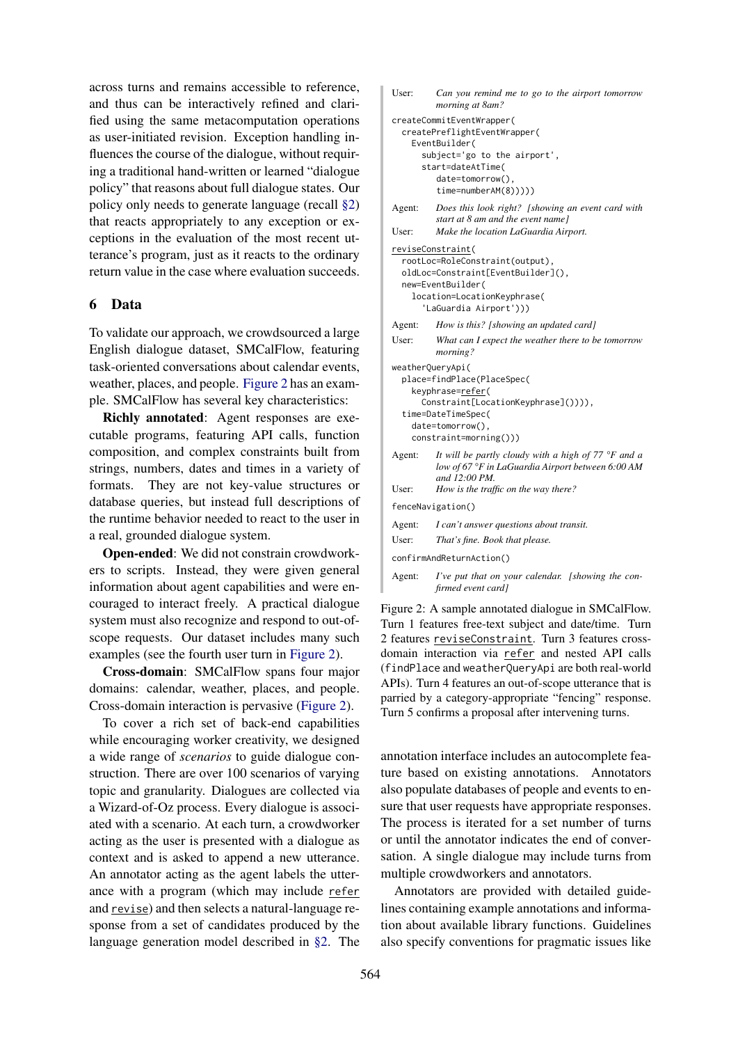across turns and remains accessible to reference, and thus can be interactively refined and clarified using the same metacomputation operations as user-initiated revision. Exception handling influences the course of the dialogue, without requiring a traditional hand-written or learned "dialogue policy" that reasons about full dialogue states. Our policy only needs to generate language (recall [§2\)](#page-1-1) that reacts appropriately to any exception or exceptions in the evaluation of the most recent utterance's program, just as it reacts to the ordinary return value in the case where evaluation succeeds.

# <span id="page-8-1"></span>6 Data

To validate our approach, we crowdsourced a large English dialogue dataset, SMCalFlow, featuring task-oriented conversations about calendar events, weather, places, and people. [Figure 2](#page-8-0) has an example. SMCalFlow has several key characteristics:

Richly annotated: Agent responses are executable programs, featuring API calls, function composition, and complex constraints built from strings, numbers, dates and times in a variety of formats. They are not key-value structures or database queries, but instead full descriptions of the runtime behavior needed to react to the user in a real, grounded dialogue system.

Open-ended: We did not constrain crowdworkers to scripts. Instead, they were given general information about agent capabilities and were encouraged to interact freely. A practical dialogue system must also recognize and respond to out-ofscope requests. Our dataset includes many such examples (see the fourth user turn in [Figure 2\)](#page-8-0).

Cross-domain: SMCalFlow spans four major domains: calendar, weather, places, and people. Cross-domain interaction is pervasive [\(Figure 2\)](#page-8-0).

To cover a rich set of back-end capabilities while encouraging worker creativity, we designed a wide range of *scenarios* to guide dialogue construction. There are over 100 scenarios of varying topic and granularity. Dialogues are collected via a Wizard-of-Oz process. Every dialogue is associated with a scenario. At each turn, a crowdworker acting as the user is presented with a dialogue as context and is asked to append a new utterance. An annotator acting as the agent labels the utterance with a program (which may include refer and revise) and then selects a natural-language response from a set of candidates produced by the language generation model described in [§2.](#page-1-1) The

```
User: Can you remind me to go to the airport tomorrow
         morning at 8am?
createCommitEventWrapper(
  createPreflightEventWrapper(
    EventBuilder(
      subject='go to the airport',
      start=dateAtTime(
         date=tomorrow(),
         time=numberAM(8)))))
Agent: Does this look right? [showing an event card with
         start at 8 am and the event name]
User: Make the location LaGuardia Airport.
reviseConstraint(
  rootLoc=RoleConstraint(output),
  oldLoc=Constraint[EventBuilder](),
  new=EventBuilder(
    location=LocationKeyphrase(
       'LaGuardia Airport')))
Agent: How is this? [showing an updated card]
User: What can I expect the weather there to be tomorrow
         morning?
weatherQueryApi(
  place=findPlace(PlaceSpec(
    keyphrase=refer(
      Constraint[LocationKeyphrase]()))),
  time=DateTimeSpec(
    date=tomorrow(),
    constraint=morning()))
Agent: It will be partly cloudy with a high of 77 °F and a
         low of 67 °F in LaGuardia Airport between 6:00 AM
         and 12:00 PM.
User: How is the traffic on the way there?
fenceNavigation()
Agent: I can't answer questions about transit.
User: That's fine. Book that please.
confirmAndReturnAction()
Agent: I've put that on your calendar. [showing the con-
         firmed event card]
```
<span id="page-8-0"></span>Figure 2: A sample annotated dialogue in SMCalFlow. Turn 1 features free-text subject and date/time. Turn 2 features reviseConstraint. Turn 3 features crossdomain interaction via refer and nested API calls (findPlace and weatherQueryApi are both real-world APIs). Turn 4 features an out-of-scope utterance that is parried by a category-appropriate "fencing" response. Turn 5 confirms a proposal after intervening turns.

annotation interface includes an autocomplete feature based on existing annotations. Annotators also populate databases of people and events to ensure that user requests have appropriate responses. The process is iterated for a set number of turns or until the annotator indicates the end of conversation. A single dialogue may include turns from multiple crowdworkers and annotators.

Annotators are provided with detailed guidelines containing example annotations and information about available library functions. Guidelines also specify conventions for pragmatic issues like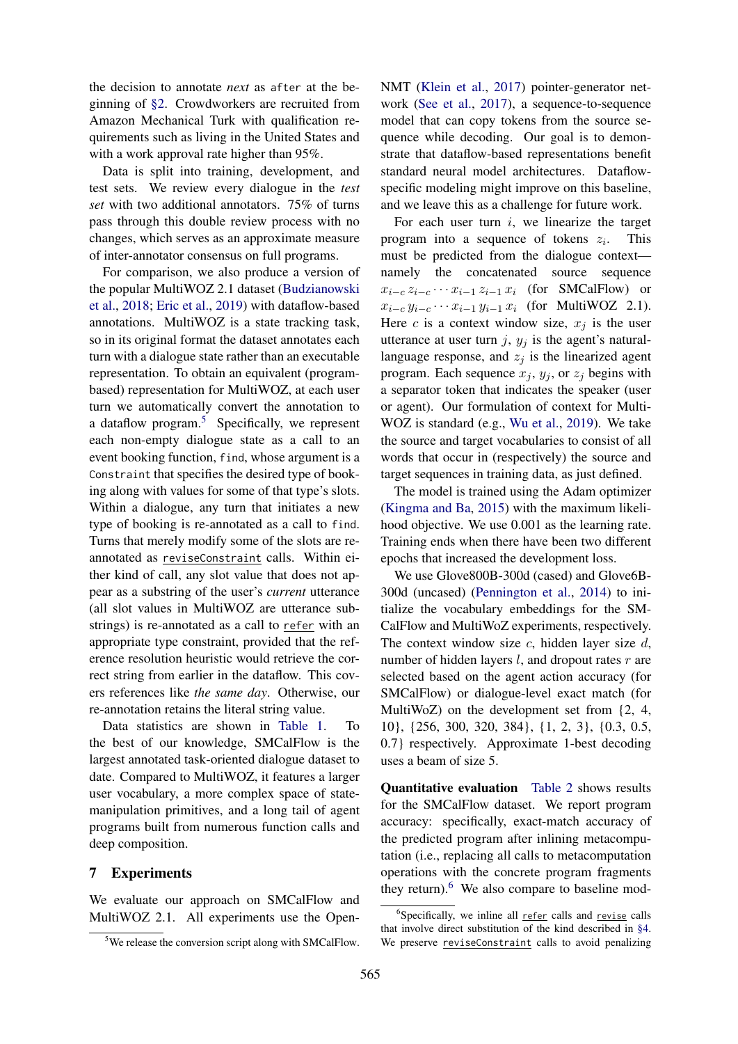the decision to annotate *next* as after at the beginning of [§2.](#page-1-1) Crowdworkers are recruited from Amazon Mechanical Turk with qualification requirements such as living in the United States and with a work approval rate higher than 95%.

Data is split into training, development, and test sets. We review every dialogue in the *test set* with two additional annotators. 75% of turns pass through this double review process with no changes, which serves as an approximate measure of inter-annotator consensus on full programs.

For comparison, we also produce a version of the popular MultiWOZ 2.1 dataset [\(Budzianowski](#page-12-2) [et al.,](#page-12-2) [2018;](#page-12-2) [Eric et al.,](#page-13-5) [2019\)](#page-13-5) with dataflow-based annotations. MultiWOZ is a state tracking task, so in its original format the dataset annotates each turn with a dialogue state rather than an executable representation. To obtain an equivalent (programbased) representation for MultiWOZ, at each user turn we automatically convert the annotation to a dataflow program.[5](#page-9-1) Specifically, we represent each non-empty dialogue state as a call to an event booking function, find, whose argument is a Constraint that specifies the desired type of booking along with values for some of that type's slots. Within a dialogue, any turn that initiates a new type of booking is re-annotated as a call to find. Turns that merely modify some of the slots are reannotated as reviseConstraint calls. Within either kind of call, any slot value that does not appear as a substring of the user's *current* utterance (all slot values in MultiWOZ are utterance substrings) is re-annotated as a call to refer with an appropriate type constraint, provided that the reference resolution heuristic would retrieve the correct string from earlier in the dataflow. This covers references like *the same day*. Otherwise, our re-annotation retains the literal string value.

Data statistics are shown in [Table 1.](#page-10-0) To the best of our knowledge, SMCalFlow is the largest annotated task-oriented dialogue dataset to date. Compared to MultiWOZ, it features a larger user vocabulary, a more complex space of statemanipulation primitives, and a long tail of agent programs built from numerous function calls and deep composition.

# <span id="page-9-0"></span>7 Experiments

We evaluate our approach on SMCalFlow and MultiWOZ 2.1. All experiments use the OpenNMT [\(Klein et al.,](#page-13-6) [2017\)](#page-13-6) pointer-generator network [\(See et al.,](#page-14-2) [2017\)](#page-14-2), a sequence-to-sequence model that can copy tokens from the source sequence while decoding. Our goal is to demonstrate that dataflow-based representations benefit standard neural model architectures. Dataflowspecific modeling might improve on this baseline, and we leave this as a challenge for future work.

For each user turn  $i$ , we linearize the target program into a sequence of tokens  $z_i$ . . This must be predicted from the dialogue context namely the concatenated source sequence  $x_{i-c} z_{i-c} \cdots x_{i-1} z_{i-1} x_i$  (for SMCalFlow) or  $x_{i-c} y_{i-c} \cdots x_{i-1} y_{i-1} x_i$  (for MultiWOZ 2.1). Here c is a context window size,  $x_j$  is the user utterance at user turn j,  $y_j$  is the agent's naturallanguage response, and  $z_i$  is the linearized agent program. Each sequence  $x_j$ ,  $y_j$ , or  $z_j$  begins with a separator token that indicates the speaker (user or agent). Our formulation of context for Multi-WOZ is standard (e.g., [Wu et al.,](#page-14-5) [2019\)](#page-14-5). We take the source and target vocabularies to consist of all words that occur in (respectively) the source and target sequences in training data, as just defined.

The model is trained using the Adam optimizer [\(Kingma and Ba,](#page-13-7) [2015\)](#page-13-7) with the maximum likelihood objective. We use 0.001 as the learning rate. Training ends when there have been two different epochs that increased the development loss.

We use Glove800B-300d (cased) and Glove6B-300d (uncased) [\(Pennington et al.,](#page-13-8) [2014\)](#page-13-8) to initialize the vocabulary embeddings for the SM-CalFlow and MultiWoZ experiments, respectively. The context window size  $c$ , hidden layer size  $d$ , number of hidden layers  $l$ , and dropout rates  $r$  are selected based on the agent action accuracy (for SMCalFlow) or dialogue-level exact match (for MultiWoZ) on the development set from {2, 4, 10}, {256, 300, 320, 384}, {1, 2, 3}, {0.3, 0.5, 0.7} respectively. Approximate 1-best decoding uses a beam of size 5.

Quantitative evaluation [Table 2](#page-10-1) shows results for the SMCalFlow dataset. We report program accuracy: specifically, exact-match accuracy of the predicted program after inlining metacomputation (i.e., replacing all calls to metacomputation operations with the concrete program fragments they return). $6\text{ }$  $6\text{ }$  We also compare to baseline mod-

<span id="page-9-1"></span><sup>5</sup>We release the conversion script along with SMCalFlow.

<span id="page-9-2"></span><sup>&</sup>lt;sup>6</sup>Specifically, we inline all refer calls and revise calls that involve direct substitution of the kind described in [§4.](#page-5-0) We preserve reviseConstraint calls to avoid penalizing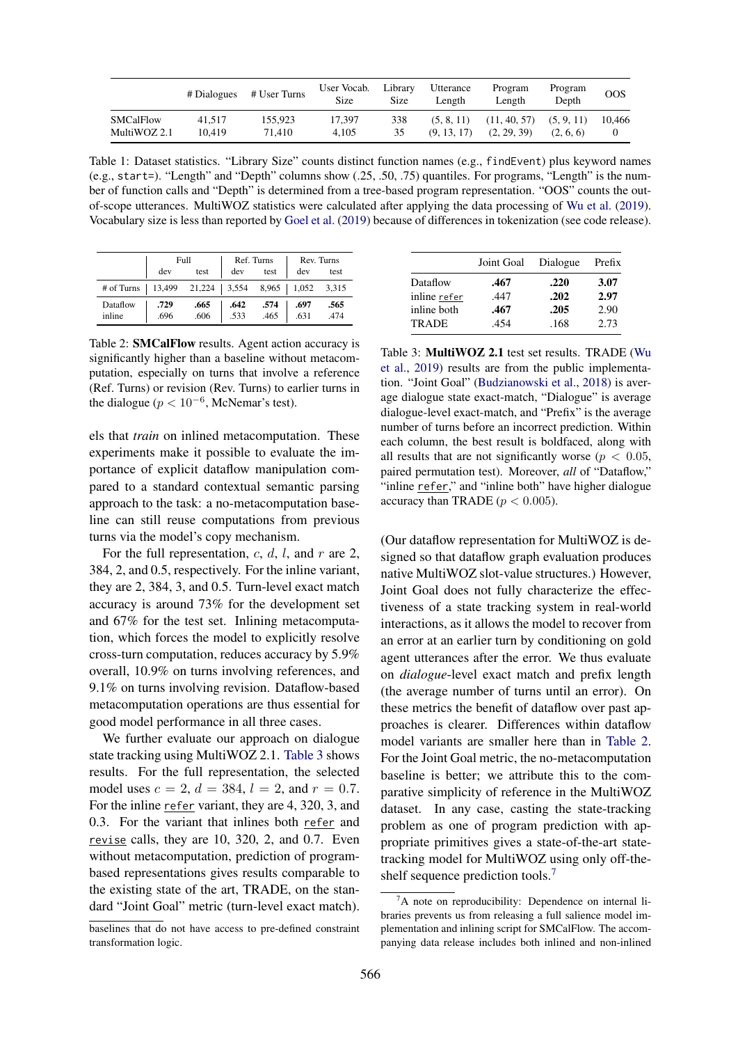|                  |        | $# Dialogues$ $# User Turns$ | User Vocab.<br>Size | Library<br>Size | Utterance<br>Length | Program<br>Length | Program<br>Depth | <b>OOS</b> |
|------------------|--------|------------------------------|---------------------|-----------------|---------------------|-------------------|------------------|------------|
| <b>SMCalFlow</b> | 41.517 | 155.923                      | 17.397              | 338             | (5, 8, 11)          | (11, 40, 57)      | (5, 9, 11)       | 10.466     |
| MultiWOZ 2.1     | 10.419 | 71.410                       | 4.105               | 35              | (9, 13, 17)         | (2, 29, 39)       | (2, 6, 6)        |            |

<span id="page-10-0"></span>Table 1: Dataset statistics. "Library Size" counts distinct function names (e.g., findEvent) plus keyword names (e.g., start=). "Length" and "Depth" columns show (.25, .50, .75) quantiles. For programs, "Length" is the number of function calls and "Depth" is determined from a tree-based program representation. "OOS" counts the outof-scope utterances. MultiWOZ statistics were calculated after applying the data processing of [Wu et al.](#page-14-5) [\(2019\)](#page-14-5). Vocabulary size is less than reported by [Goel et al.](#page-13-9) [\(2019\)](#page-13-9) because of differences in tokenization (see code release).

|                                                  | Full         |              |              | Ref. Turns   | Rev. Turns   |              |
|--------------------------------------------------|--------------|--------------|--------------|--------------|--------------|--------------|
|                                                  | dev          | test         | dev          | test         | dev          | test         |
| # of Turns   13,499 21,224   3,554 8,965   1,052 |              |              |              |              |              | 3,315        |
| Dataflow<br>inline                               | .729<br>.696 | .665<br>.606 | .642<br>.533 | .574<br>.465 | .697<br>.631 | .565<br>.474 |

<span id="page-10-1"></span>Table 2: SMCalFlow results. Agent action accuracy is significantly higher than a baseline without metacomputation, especially on turns that involve a reference (Ref. Turns) or revision (Rev. Turns) to earlier turns in the dialogue ( $p < 10^{-6}$ , McNemar's test).

els that *train* on inlined metacomputation. These experiments make it possible to evaluate the importance of explicit dataflow manipulation compared to a standard contextual semantic parsing approach to the task: a no-metacomputation baseline can still reuse computations from previous turns via the model's copy mechanism.

For the full representation,  $c, d, l$ , and  $r$  are 2, 384, 2, and 0.5, respectively. For the inline variant, they are 2, 384, 3, and 0.5. Turn-level exact match accuracy is around 73% for the development set and 67% for the test set. Inlining metacomputation, which forces the model to explicitly resolve cross-turn computation, reduces accuracy by 5.9% overall, 10.9% on turns involving references, and 9.1% on turns involving revision. Dataflow-based metacomputation operations are thus essential for good model performance in all three cases.

We further evaluate our approach on dialogue state tracking using MultiWOZ 2.1. [Table 3](#page-10-2) shows results. For the full representation, the selected model uses  $c = 2$ ,  $d = 384$ ,  $l = 2$ , and  $r = 0.7$ . For the inline refer variant, they are 4, 320, 3, and 0.3. For the variant that inlines both refer and revise calls, they are 10, 320, 2, and 0.7. Even without metacomputation, prediction of programbased representations gives results comparable to the existing state of the art, TRADE, on the standard "Joint Goal" metric (turn-level exact match).

|              | Joint Goal | Dialogue | Prefix |
|--------------|------------|----------|--------|
| Dataflow     | .467       | .220     | 3.07   |
| inline refer | .447       | .202     | 2.97   |
| inline both  | .467       | .205     | 2.90   |
| <b>TRADE</b> | .454       | .168     | 2.73   |

<span id="page-10-2"></span>Table 3: MultiWOZ 2.1 test set results. TRADE [\(Wu](#page-14-5) [et al.,](#page-14-5) [2019\)](#page-14-5) results are from the public implementation. "Joint Goal" [\(Budzianowski et al.,](#page-12-2) [2018\)](#page-12-2) is average dialogue state exact-match, "Dialogue" is average dialogue-level exact-match, and "Prefix" is the average number of turns before an incorrect prediction. Within each column, the best result is boldfaced, along with all results that are not significantly worse ( $p < 0.05$ , paired permutation test). Moreover, *all* of "Dataflow," "inline refer," and "inline both" have higher dialogue accuracy than TRADE ( $p < 0.005$ ).

(Our dataflow representation for MultiWOZ is designed so that dataflow graph evaluation produces native MultiWOZ slot-value structures.) However, Joint Goal does not fully characterize the effectiveness of a state tracking system in real-world interactions, as it allows the model to recover from an error at an earlier turn by conditioning on gold agent utterances after the error. We thus evaluate on *dialogue*-level exact match and prefix length (the average number of turns until an error). On these metrics the benefit of dataflow over past approaches is clearer. Differences within dataflow model variants are smaller here than in [Table 2.](#page-10-1) For the Joint Goal metric, the no-metacomputation baseline is better; we attribute this to the comparative simplicity of reference in the MultiWOZ dataset. In any case, casting the state-tracking problem as one of program prediction with appropriate primitives gives a state-of-the-art statetracking model for MultiWOZ using only off-the-shelf sequence prediction tools.<sup>[7](#page-10-3)</sup>

baselines that do not have access to pre-defined constraint transformation logic.

<span id="page-10-3"></span> ${}^{7}$ A note on reproducibility: Dependence on internal libraries prevents us from releasing a full salience model implementation and inlining script for SMCalFlow. The accompanying data release includes both inlined and non-inlined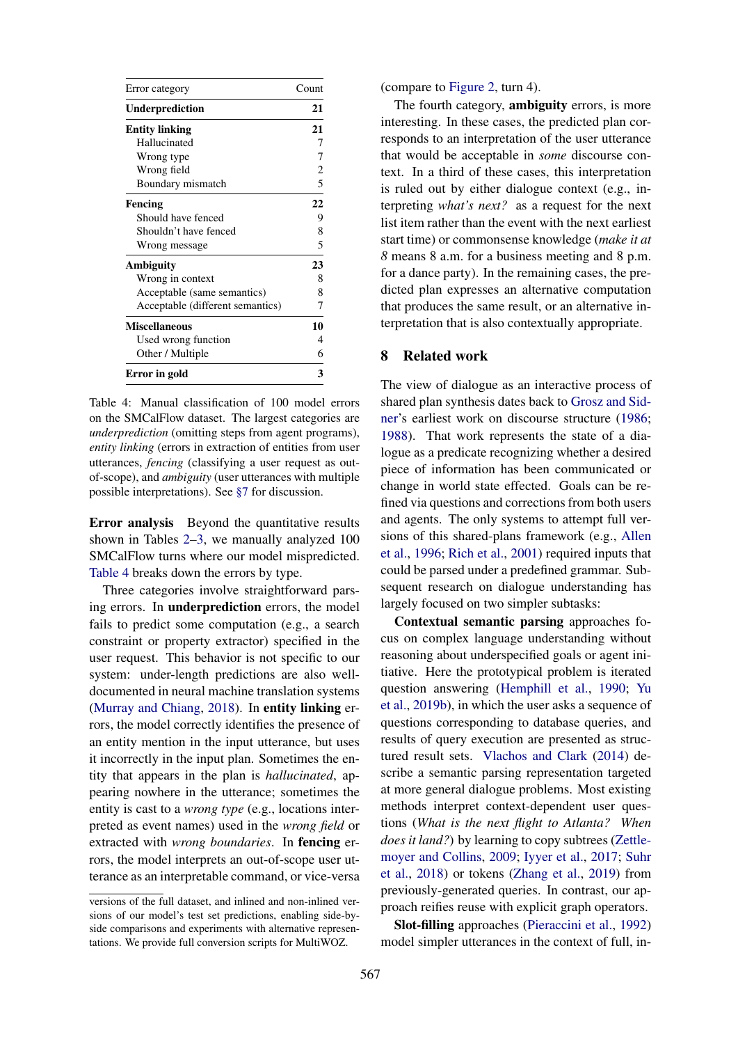| Error category                   | Count          |
|----------------------------------|----------------|
| <b>Underprediction</b>           | 21             |
| <b>Entity linking</b>            | 21             |
| Hallucinated                     | 7              |
| Wrong type                       |                |
| Wrong field                      | $\overline{c}$ |
| Boundary mismatch                | 5              |
| Fencing                          | 22             |
| Should have fenced               | 9              |
| Shouldn't have fenced            | 8              |
| Wrong message                    | 5              |
| Ambiguity                        | 23             |
| Wrong in context                 | 8              |
| Acceptable (same semantics)      | 8              |
| Acceptable (different semantics) | 7              |
| <b>Miscellaneous</b>             | 10             |
| Used wrong function              | 4              |
| Other / Multiple                 | 6              |
| Error in gold                    | 3              |

<span id="page-11-0"></span>Table 4: Manual classification of 100 model errors on the SMCalFlow dataset. The largest categories are *underprediction* (omitting steps from agent programs), *entity linking* (errors in extraction of entities from user utterances, *fencing* (classifying a user request as outof-scope), and *ambiguity* (user utterances with multiple possible interpretations). See [§7](#page-9-0) for discussion.

Error analysis Beyond the quantitative results shown in Tables [2](#page-10-1)[–3,](#page-10-2) we manually analyzed 100 SMCalFlow turns where our model mispredicted. [Table 4](#page-11-0) breaks down the errors by type.

Three categories involve straightforward parsing errors. In underprediction errors, the model fails to predict some computation (e.g., a search constraint or property extractor) specified in the user request. This behavior is not specific to our system: under-length predictions are also welldocumented in neural machine translation systems [\(Murray and Chiang,](#page-13-10) [2018\)](#page-13-10). In entity linking errors, the model correctly identifies the presence of an entity mention in the input utterance, but uses it incorrectly in the input plan. Sometimes the entity that appears in the plan is *hallucinated*, appearing nowhere in the utterance; sometimes the entity is cast to a *wrong type* (e.g., locations interpreted as event names) used in the *wrong field* or extracted with *wrong boundaries*. In fencing errors, the model interprets an out-of-scope user utterance as an interpretable command, or vice-versa (compare to [Figure 2,](#page-8-0) turn 4).

The fourth category, **ambiguity** errors, is more interesting. In these cases, the predicted plan corresponds to an interpretation of the user utterance that would be acceptable in *some* discourse context. In a third of these cases, this interpretation is ruled out by either dialogue context (e.g., interpreting *what's next?* as a request for the next list item rather than the event with the next earliest start time) or commonsense knowledge (*make it at 8* means 8 a.m. for a business meeting and 8 p.m. for a dance party). In the remaining cases, the predicted plan expresses an alternative computation that produces the same result, or an alternative interpretation that is also contextually appropriate.

### 8 Related work

The view of dialogue as an interactive process of shared plan synthesis dates back to [Grosz and Sid](#page-13-11)[ner'](#page-13-11)s earliest work on discourse structure [\(1986;](#page-13-11) [1988\)](#page-13-12). That work represents the state of a dialogue as a predicate recognizing whether a desired piece of information has been communicated or change in world state effected. Goals can be refined via questions and corrections from both users and agents. The only systems to attempt full versions of this shared-plans framework (e.g., [Allen](#page-12-3) [et al.,](#page-12-3) [1996;](#page-12-3) [Rich et al.,](#page-14-6) [2001\)](#page-14-6) required inputs that could be parsed under a predefined grammar. Subsequent research on dialogue understanding has largely focused on two simpler subtasks:

Contextual semantic parsing approaches focus on complex language understanding without reasoning about underspecified goals or agent initiative. Here the prototypical problem is iterated question answering [\(Hemphill et al.,](#page-13-13) [1990;](#page-13-13) [Yu](#page-14-7) [et al.,](#page-14-7) [2019b\)](#page-14-7), in which the user asks a sequence of questions corresponding to database queries, and results of query execution are presented as structured result sets. [Vlachos and Clark](#page-14-8) [\(2014\)](#page-14-8) describe a semantic parsing representation targeted at more general dialogue problems. Most existing methods interpret context-dependent user questions (*What is the next flight to Atlanta? When does it land?*) by learning to copy subtrees [\(Zettle](#page-14-9)[moyer and Collins,](#page-14-9) [2009;](#page-14-9) [Iyyer et al.,](#page-13-14) [2017;](#page-13-14) [Suhr](#page-14-10) [et al.,](#page-14-10) [2018\)](#page-14-10) or tokens [\(Zhang et al.,](#page-15-0) [2019\)](#page-15-0) from previously-generated queries. In contrast, our approach reifies reuse with explicit graph operators.

Slot-filling approaches [\(Pieraccini et al.,](#page-14-0) [1992\)](#page-14-0) model simpler utterances in the context of full, in-

versions of the full dataset, and inlined and non-inlined versions of our model's test set predictions, enabling side-byside comparisons and experiments with alternative representations. We provide full conversion scripts for MultiWOZ.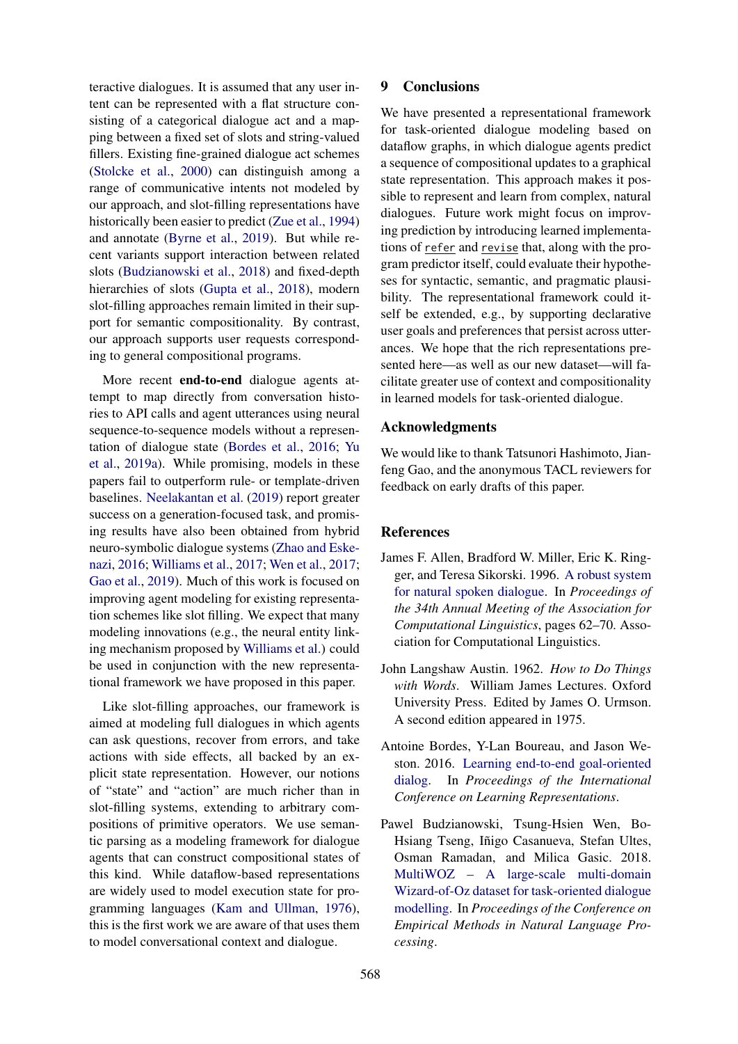teractive dialogues. It is assumed that any user intent can be represented with a flat structure consisting of a categorical dialogue act and a mapping between a fixed set of slots and string-valued fillers. Existing fine-grained dialogue act schemes [\(Stolcke et al.,](#page-14-11) [2000\)](#page-14-11) can distinguish among a range of communicative intents not modeled by our approach, and slot-filling representations have historically been easier to predict [\(Zue et al.,](#page-15-1) [1994\)](#page-15-1) and annotate [\(Byrne et al.,](#page-13-15) [2019\)](#page-13-15). But while recent variants support interaction between related slots [\(Budzianowski et al.,](#page-12-2) [2018\)](#page-12-2) and fixed-depth hierarchies of slots [\(Gupta et al.,](#page-13-16) [2018\)](#page-13-16), modern slot-filling approaches remain limited in their support for semantic compositionality. By contrast, our approach supports user requests corresponding to general compositional programs.

More recent end-to-end dialogue agents attempt to map directly from conversation histories to API calls and agent utterances using neural sequence-to-sequence models without a representation of dialogue state [\(Bordes et al.,](#page-12-0) [2016;](#page-12-0) [Yu](#page-14-12) [et al.,](#page-14-12) [2019a\)](#page-14-12). While promising, models in these papers fail to outperform rule- or template-driven baselines. [Neelakantan et al.](#page-13-17) [\(2019\)](#page-13-17) report greater success on a generation-focused task, and promising results have also been obtained from hybrid neuro-symbolic dialogue systems [\(Zhao and Eske](#page-15-2)[nazi,](#page-15-2) [2016;](#page-15-2) [Williams et al.,](#page-14-13) [2017;](#page-14-13) [Wen et al.,](#page-14-14) [2017;](#page-14-14) [Gao et al.,](#page-13-18) [2019\)](#page-13-18). Much of this work is focused on improving agent modeling for existing representation schemes like slot filling. We expect that many modeling innovations (e.g., the neural entity linking mechanism proposed by [Williams et al.\)](#page-14-13) could be used in conjunction with the new representational framework we have proposed in this paper.

Like slot-filling approaches, our framework is aimed at modeling full dialogues in which agents can ask questions, recover from errors, and take actions with side effects, all backed by an explicit state representation. However, our notions of "state" and "action" are much richer than in slot-filling systems, extending to arbitrary compositions of primitive operators. We use semantic parsing as a modeling framework for dialogue agents that can construct compositional states of this kind. While dataflow-based representations are widely used to model execution state for programming languages [\(Kam and Ullman,](#page-13-19) [1976\)](#page-13-19), this is the first work we are aware of that uses them to model conversational context and dialogue.

### 9 Conclusions

We have presented a representational framework for task-oriented dialogue modeling based on dataflow graphs, in which dialogue agents predict a sequence of compositional updates to a graphical state representation. This approach makes it possible to represent and learn from complex, natural dialogues. Future work might focus on improving prediction by introducing learned implementations of refer and revise that, along with the program predictor itself, could evaluate their hypotheses for syntactic, semantic, and pragmatic plausibility. The representational framework could itself be extended, e.g., by supporting declarative user goals and preferences that persist across utterances. We hope that the rich representations presented here—as well as our new dataset—will facilitate greater use of context and compositionality in learned models for task-oriented dialogue.

## Acknowledgments

We would like to thank Tatsunori Hashimoto, Jianfeng Gao, and the anonymous TACL reviewers for feedback on early drafts of this paper.

### References

- <span id="page-12-3"></span>James F. Allen, Bradford W. Miller, Eric K. Ringger, and Teresa Sikorski. 1996. [A robust system](https://www.aclweb.org/anthology/P96-1009/) [for natural spoken dialogue.](https://www.aclweb.org/anthology/P96-1009/) In *Proceedings of the 34th Annual Meeting of the Association for Computational Linguistics*, pages 62–70. Association for Computational Linguistics.
- <span id="page-12-1"></span>John Langshaw Austin. 1962. *How to Do Things with Words*. William James Lectures. Oxford University Press. Edited by James O. Urmson. A second edition appeared in 1975.
- <span id="page-12-0"></span>Antoine Bordes, Y-Lan Boureau, and Jason Weston. 2016. [Learning end-to-end goal-oriented](https://openreview.net/forum?id=S1Bb3D5gg) [dialog.](https://openreview.net/forum?id=S1Bb3D5gg) In *Proceedings of the International Conference on Learning Representations*.
- <span id="page-12-2"></span>Pawel Budzianowski, Tsung-Hsien Wen, Bo-Hsiang Tseng, Iñigo Casanueva, Stefan Ultes, Osman Ramadan, and Milica Gasic. 2018. [MultiWOZ – A large-scale multi-domain](https://www.aclweb.org/anthology/D18-1547/) [Wizard-of-Oz dataset for task-oriented dialogue](https://www.aclweb.org/anthology/D18-1547/) [modelling.](https://www.aclweb.org/anthology/D18-1547/) In *Proceedings of the Conference on Empirical Methods in Natural Language Processing*.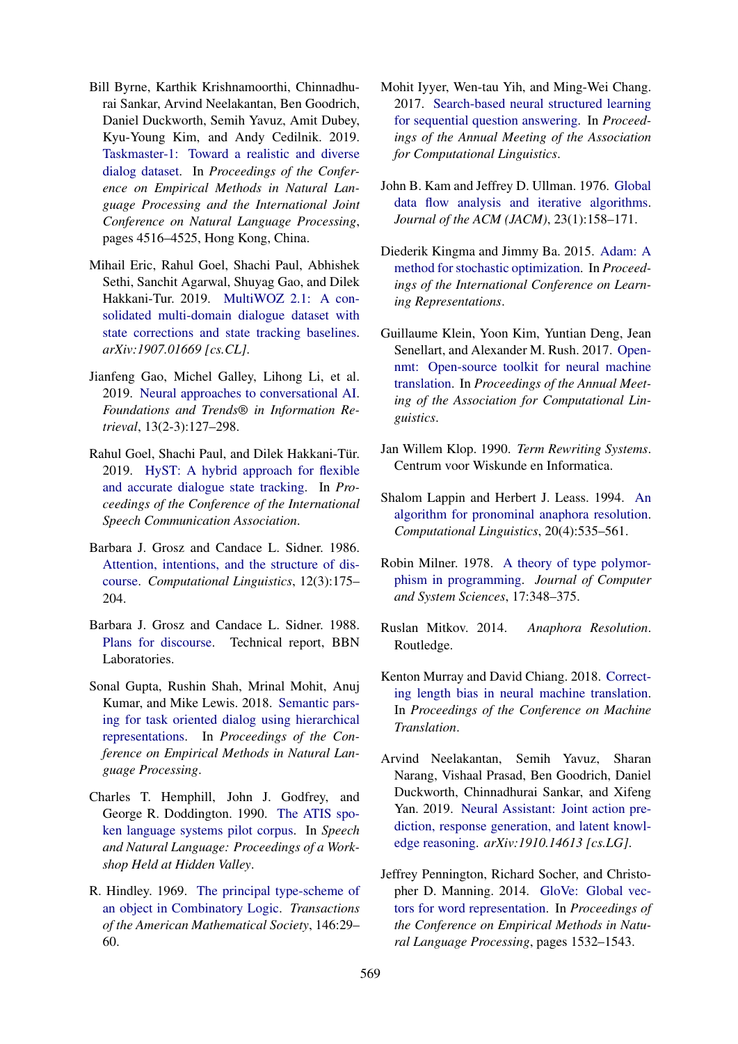- <span id="page-13-15"></span>Bill Byrne, Karthik Krishnamoorthi, Chinnadhurai Sankar, Arvind Neelakantan, Ben Goodrich, Daniel Duckworth, Semih Yavuz, Amit Dubey, Kyu-Young Kim, and Andy Cedilnik. 2019. [Taskmaster-1: Toward a realistic and diverse](https://www.aclweb.org/anthology/D19-1459) [dialog dataset.](https://www.aclweb.org/anthology/D19-1459) In *Proceedings of the Conference on Empirical Methods in Natural Language Processing and the International Joint Conference on Natural Language Processing*, pages 4516–4525, Hong Kong, China.
- <span id="page-13-5"></span>Mihail Eric, Rahul Goel, Shachi Paul, Abhishek Sethi, Sanchit Agarwal, Shuyag Gao, and Dilek Hakkani-Tur. 2019. [MultiWOZ 2.1: A con](https://arxiv.org/abs/1907.01669)[solidated multi-domain dialogue dataset with](https://arxiv.org/abs/1907.01669) [state corrections and state tracking baselines.](https://arxiv.org/abs/1907.01669) *arXiv:1907.01669 [cs.CL]*.
- <span id="page-13-18"></span>Jianfeng Gao, Michel Galley, Lihong Li, et al. 2019. [Neural approaches to conversational AI.](https://www.nowpublishers.com/article/Details/INR-074) *Foundations and Trends® in Information Retrieval*, 13(2-3):127–298.
- <span id="page-13-9"></span>Rahul Goel, Shachi Paul, and Dilek Hakkani-Tür. 2019. [HyST: A hybrid approach for flexible](https://www.isca-speech.org/archive/Interspeech_2019/abstracts/1863.html) [and accurate dialogue state tracking.](https://www.isca-speech.org/archive/Interspeech_2019/abstracts/1863.html) In *Proceedings of the Conference of the International Speech Communication Association*.
- <span id="page-13-11"></span>Barbara J. Grosz and Candace L. Sidner. 1986. [Attention, intentions, and the structure of dis](https://www.aclweb.org/anthology/J86-3001/)[course.](https://www.aclweb.org/anthology/J86-3001/) *Computational Linguistics*, 12(3):175– 204.
- <span id="page-13-12"></span>Barbara J. Grosz and Candace L. Sidner. 1988. [Plans for discourse.](https://apps.dtic.mil/docs/citations/ADA192242) Technical report, BBN Laboratories.
- <span id="page-13-16"></span>Sonal Gupta, Rushin Shah, Mrinal Mohit, Anuj Kumar, and Mike Lewis. 2018. [Semantic pars](https://www.aclweb.org/anthology/D18-1300/)[ing for task oriented dialog using hierarchical](https://www.aclweb.org/anthology/D18-1300/) [representations.](https://www.aclweb.org/anthology/D18-1300/) In *Proceedings of the Conference on Empirical Methods in Natural Language Processing*.
- <span id="page-13-13"></span>Charles T. Hemphill, John J. Godfrey, and George R. Doddington. 1990. [The ATIS spo](https://www.aclweb.org/anthology/H90-1021/)[ken language systems pilot corpus.](https://www.aclweb.org/anthology/H90-1021/) In *Speech and Natural Language: Proceedings of a Workshop Held at Hidden Valley*.
- <span id="page-13-2"></span>R. Hindley. 1969. [The principal type-scheme of](https://doi.org/10.2307/1995158) [an object in Combinatory Logic.](https://doi.org/10.2307/1995158) *Transactions of the American Mathematical Society*, 146:29– 60.
- <span id="page-13-14"></span>Mohit Iyyer, Wen-tau Yih, and Ming-Wei Chang. 2017. [Search-based neural structured learning](https://www.aclweb.org/anthology/P17-1167/) [for sequential question answering.](https://www.aclweb.org/anthology/P17-1167/) In *Proceedings of the Annual Meeting of the Association for Computational Linguistics*.
- <span id="page-13-19"></span>John B. Kam and Jeffrey D. Ullman. 1976. [Global](https://dl.acm.org/doi/10.1145/321921.321938) [data flow analysis and iterative algorithms.](https://dl.acm.org/doi/10.1145/321921.321938) *Journal of the ACM (JACM)*, 23(1):158–171.
- <span id="page-13-7"></span>Diederik Kingma and Jimmy Ba. 2015. [Adam: A](https://arxiv.org/abs/1412.6980) [method for stochastic optimization.](https://arxiv.org/abs/1412.6980) In *Proceedings of the International Conference on Learning Representations*.
- <span id="page-13-6"></span>Guillaume Klein, Yoon Kim, Yuntian Deng, Jean Senellart, and Alexander M. Rush. 2017. [Open](https://doi.org/10.18653/v1/P17-4012)[nmt: Open-source toolkit for neural machine](https://doi.org/10.18653/v1/P17-4012) [translation.](https://doi.org/10.18653/v1/P17-4012) In *Proceedings of the Annual Meeting of the Association for Computational Linguistics*.
- <span id="page-13-4"></span>Jan Willem Klop. 1990. *Term Rewriting Systems*. Centrum voor Wiskunde en Informatica.
- <span id="page-13-1"></span>Shalom Lappin and Herbert J. Leass. 1994. [An](https://www.aclweb.org/anthology/J94-4002/) [algorithm for pronominal anaphora resolution.](https://www.aclweb.org/anthology/J94-4002/) *Computational Linguistics*, 20(4):535–561.
- <span id="page-13-3"></span>Robin Milner. 1978. [A theory of type polymor](https://www.sciencedirect.com/science/article/pii/0022000078900144)[phism in programming.](https://www.sciencedirect.com/science/article/pii/0022000078900144) *Journal of Computer and System Sciences*, 17:348–375.
- <span id="page-13-0"></span>Ruslan Mitkov. 2014. *Anaphora Resolution*. Routledge.
- <span id="page-13-10"></span>Kenton Murray and David Chiang. 2018. [Correct](https://www.aclweb.org/anthology/W18-6322/)[ing length bias in neural machine translation.](https://www.aclweb.org/anthology/W18-6322/) In *Proceedings of the Conference on Machine Translation*.
- <span id="page-13-17"></span>Arvind Neelakantan, Semih Yavuz, Sharan Narang, Vishaal Prasad, Ben Goodrich, Daniel Duckworth, Chinnadhurai Sankar, and Xifeng Yan. 2019. [Neural Assistant: Joint action pre](https://arxiv.org/abs/1910.14613)[diction, response generation, and latent knowl](https://arxiv.org/abs/1910.14613)[edge reasoning.](https://arxiv.org/abs/1910.14613) *arXiv:1910.14613 [cs.LG]*.
- <span id="page-13-8"></span>Jeffrey Pennington, Richard Socher, and Christopher D. Manning. 2014. [GloVe: Global vec](http://www.aclweb.org/anthology/D14-1162)[tors for word representation.](http://www.aclweb.org/anthology/D14-1162) In *Proceedings of the Conference on Empirical Methods in Natural Language Processing*, pages 1532–1543.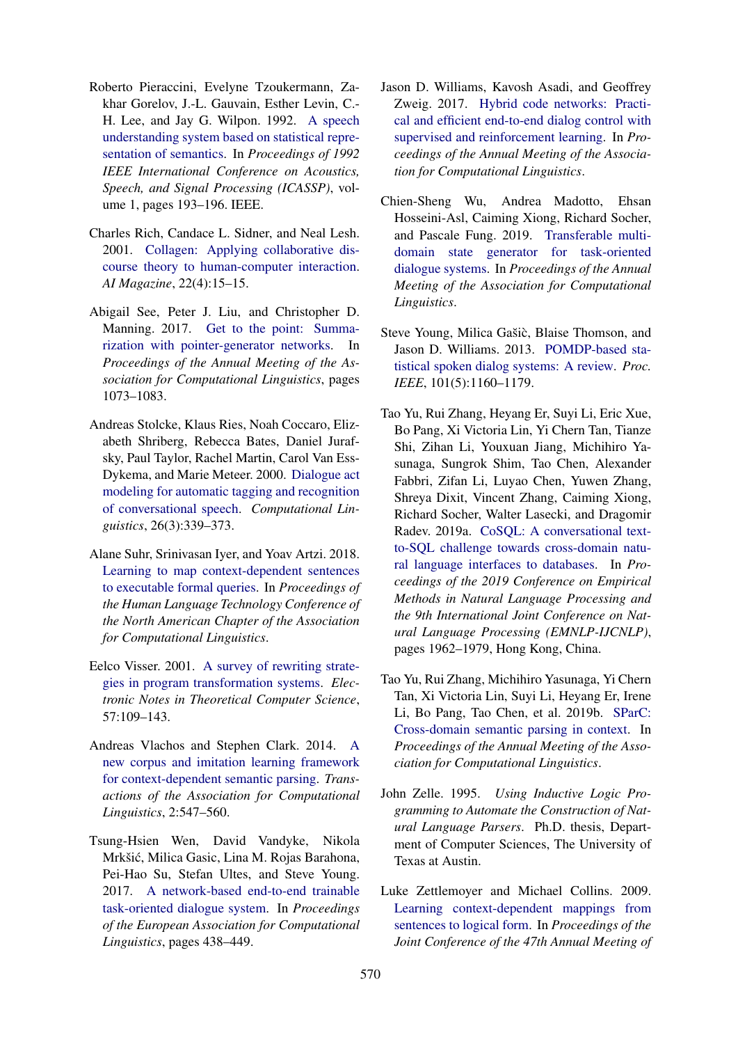- <span id="page-14-0"></span>Roberto Pieraccini, Evelyne Tzoukermann, Zakhar Gorelov, J.-L. Gauvain, Esther Levin, C.- H. Lee, and Jay G. Wilpon. 1992. [A speech](https://ieeexplore.ieee.org/document/225939) [understanding system based on statistical repre](https://ieeexplore.ieee.org/document/225939)[sentation of semantics.](https://ieeexplore.ieee.org/document/225939) In *Proceedings of 1992 IEEE International Conference on Acoustics, Speech, and Signal Processing (ICASSP)*, volume 1, pages 193–196. IEEE.
- <span id="page-14-6"></span>Charles Rich, Candace L. Sidner, and Neal Lesh. 2001. [Collagen: Applying collaborative dis](https://www.aaai.org/ojs/index.php/aimagazine/article/view/1589)[course theory to human-computer interaction.](https://www.aaai.org/ojs/index.php/aimagazine/article/view/1589) *AI Magazine*, 22(4):15–15.
- <span id="page-14-2"></span>Abigail See, Peter J. Liu, and Christopher D. Manning. 2017. [Get to the point: Summa](https://www.aclweb.org/anthology/P17-1099)[rization with pointer-generator networks.](https://www.aclweb.org/anthology/P17-1099) In *Proceedings of the Annual Meeting of the Association for Computational Linguistics*, pages 1073–1083.
- <span id="page-14-11"></span>Andreas Stolcke, Klaus Ries, Noah Coccaro, Elizabeth Shriberg, Rebecca Bates, Daniel Jurafsky, Paul Taylor, Rachel Martin, Carol Van Ess-Dykema, and Marie Meteer. 2000. [Dialogue act](https://www.aclweb.org/anthology/J00-3003/) [modeling for automatic tagging and recognition](https://www.aclweb.org/anthology/J00-3003/) [of conversational speech.](https://www.aclweb.org/anthology/J00-3003/) *Computational Linguistics*, 26(3):339–373.
- <span id="page-14-10"></span>Alane Suhr, Srinivasan Iyer, and Yoav Artzi. 2018. [Learning to map context-dependent sentences](https://www.aclweb.org/anthology/N18-1203/) [to executable formal queries.](https://www.aclweb.org/anthology/N18-1203/) In *Proceedings of the Human Language Technology Conference of the North American Chapter of the Association for Computational Linguistics*.
- <span id="page-14-1"></span>Eelco Visser. 2001. [A survey of rewriting strate](https://www.sciencedirect.com/science/article/pii/S1571066104002701)[gies in program transformation systems.](https://www.sciencedirect.com/science/article/pii/S1571066104002701) *Electronic Notes in Theoretical Computer Science*, 57:109–143.
- <span id="page-14-8"></span>Andreas Vlachos and Stephen Clark. 2014. [A](https://www.aclweb.org/anthology/Q14-1042/) [new corpus and imitation learning framework](https://www.aclweb.org/anthology/Q14-1042/) [for context-dependent semantic parsing.](https://www.aclweb.org/anthology/Q14-1042/) *Transactions of the Association for Computational Linguistics*, 2:547–560.
- <span id="page-14-14"></span>Tsung-Hsien Wen, David Vandyke, Nikola Mrkšic, Milica Gasic, Lina M. Rojas Barahona, ´ Pei-Hao Su, Stefan Ultes, and Steve Young. 2017. [A network-based end-to-end trainable](http://aclweb.org/anthology/E17-1042) [task-oriented dialogue system.](http://aclweb.org/anthology/E17-1042) In *Proceedings of the European Association for Computational Linguistics*, pages 438–449.
- <span id="page-14-13"></span>Jason D. Williams, Kavosh Asadi, and Geoffrey Zweig. 2017. [Hybrid code networks: Practi](https://www.aclweb.org/anthology/P17-1062)[cal and efficient end-to-end dialog control with](https://www.aclweb.org/anthology/P17-1062) [supervised and reinforcement learning.](https://www.aclweb.org/anthology/P17-1062) In *Proceedings of the Annual Meeting of the Association for Computational Linguistics*.
- <span id="page-14-5"></span>Chien-Sheng Wu, Andrea Madotto, Ehsan Hosseini-Asl, Caiming Xiong, Richard Socher, and Pascale Fung. 2019. [Transferable multi](https://www.aclweb.org/anthology/P19-1078/)[domain state generator for task-oriented](https://www.aclweb.org/anthology/P19-1078/) [dialogue systems.](https://www.aclweb.org/anthology/P19-1078/) In *Proceedings of the Annual Meeting of the Association for Computational Linguistics*.
- <span id="page-14-3"></span>Steve Young, Milica Gašić, Blaise Thomson, and Jason D. Williams. 2013. [POMDP-based sta](https://ieeexplore.ieee.org/document/6407655)[tistical spoken dialog systems: A review.](https://ieeexplore.ieee.org/document/6407655) *Proc. IEEE*, 101(5):1160–1179.
- <span id="page-14-12"></span>Tao Yu, Rui Zhang, Heyang Er, Suyi Li, Eric Xue, Bo Pang, Xi Victoria Lin, Yi Chern Tan, Tianze Shi, Zihan Li, Youxuan Jiang, Michihiro Yasunaga, Sungrok Shim, Tao Chen, Alexander Fabbri, Zifan Li, Luyao Chen, Yuwen Zhang, Shreya Dixit, Vincent Zhang, Caiming Xiong, Richard Socher, Walter Lasecki, and Dragomir Radev. 2019a. [CoSQL: A conversational text](https://www.aclweb.org/anthology/D19-1204)[to-SQL challenge towards cross-domain natu](https://www.aclweb.org/anthology/D19-1204)[ral language interfaces to databases.](https://www.aclweb.org/anthology/D19-1204) In *Proceedings of the 2019 Conference on Empirical Methods in Natural Language Processing and the 9th International Joint Conference on Natural Language Processing (EMNLP-IJCNLP)*, pages 1962–1979, Hong Kong, China.
- <span id="page-14-7"></span>Tao Yu, Rui Zhang, Michihiro Yasunaga, Yi Chern Tan, Xi Victoria Lin, Suyi Li, Heyang Er, Irene Li, Bo Pang, Tao Chen, et al. 2019b. [SParC:](https://www.aclweb.org/anthology/P19-1443/) [Cross-domain semantic parsing in context.](https://www.aclweb.org/anthology/P19-1443/) In *Proceedings of the Annual Meeting of the Association for Computational Linguistics*.
- <span id="page-14-4"></span>John Zelle. 1995. *Using Inductive Logic Programming to Automate the Construction of Natural Language Parsers*. Ph.D. thesis, Department of Computer Sciences, The University of Texas at Austin.
- <span id="page-14-9"></span>Luke Zettlemoyer and Michael Collins. 2009. [Learning context-dependent mappings from](https://www.aclweb.org/anthology/P09-1110/) [sentences to logical form.](https://www.aclweb.org/anthology/P09-1110/) In *Proceedings of the Joint Conference of the 47th Annual Meeting of*